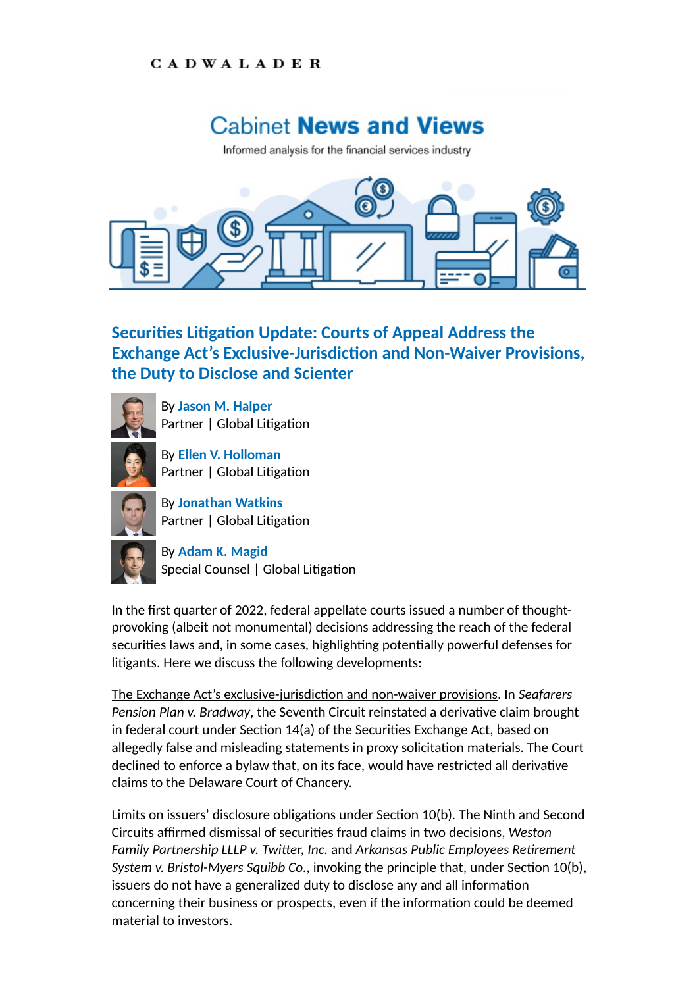## **CADWALADER**

## **Cabinet News and Views**

Informed analysis for the financial services industry



## **Securities Litigation Update: Courts of Appeal Address the Exchange Act's Exclusive-Jurisdiction and Non-Waiver Provisions, the Duty to Disclose and Scienter**



By **[Jason M. Halper](https://www.cadwalader.com/professionals/jason-halper)** Partner | Global Litigation

By **[Ellen V. Holloman](https://www.cadwalader.com/professionals/ellen-holloman)** Partner | Global Litigation



By **[Jonathan Watkins](https://www.cadwalader.com/professionals/jonathan-watkins)** Partner | Global Litigation



By **[Adam K. Magid](https://www.cadwalader.com/professionals/adam-magid)** Special Counsel | Global Litigation

In the first quarter of 2022, federal appellate courts issued a number of thoughtprovoking (albeit not monumental) decisions addressing the reach of the federal securities laws and, in some cases, highlighting potentially powerful defenses for litigants. Here we discuss the following developments:

The Exchange Act's exclusive-jurisdiction and non-waiver provisions. In *Seafarers Pension Plan v. Bradway, the Seventh Circuit reinstated a derivative claim brought* in federal court under Section 14(a) of the Securities Exchange Act, based on allegedly false and misleading statements in proxy solicitation materials. The Court declined to enforce a bylaw that, on its face, would have restricted all derivative claims to the Delaware Court of Chancery.

Limits on issuers' disclosure obligations under Section 10(b). The Ninth and Second Circuits affirmed dismissal of securities fraud claims in two decisions, Weston Family Partnership LLLP v. Twitter, Inc. and Arkansas Public Employees Retirement *System v. Bristol-Myers Squibb Co., invoking the principle that, under Section 10(b),* issuers do not have a generalized duty to disclose any and all information concerning their business or prospects, even if the information could be deemed material to investors.